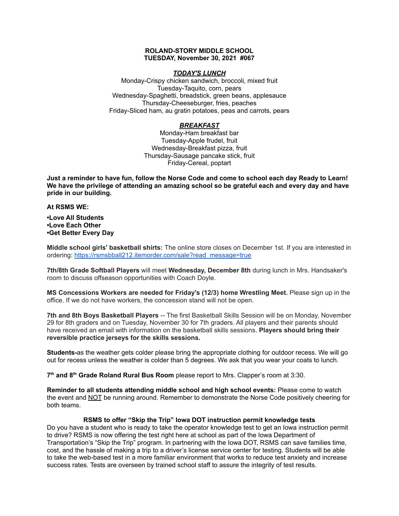### **ROLAND-STORY MIDDLE SCHOOL TUESDAY, November 30, 2021 #067**

### *TODAY'S LUNCH*

Monday-Crispy chicken sandwich, broccoli, mixed fruit Tuesday-Taquito, corn, pears Wednesday-Spaghetti, breadstick, green beans, applesauce Thursday-Cheeseburger, fries, peaches Friday-Sliced ham, au gratin potatoes, peas and carrots, pears

# *BREAKFAST*

Monday-Ham breakfast bar Tuesday-Apple frudel, fruit Wednesday-Breakfast pizza, fruit Thursday-Sausage pancake stick, fruit Friday-Cereal, poptart

Just a reminder to have fun, follow the Norse Code and come to school each day Ready to Learn! **We have the privilege of attending an amazing school so be grateful each and every day and have pride in our building.**

**At RSMS WE:**

**•Love All Students •Love Each Other •Get Better Every Day**

**Middle school girls' basketball shirts:** The online store closes on December 1st. If you are interested in ordering: [https://rsmsbball212.itemorder.com/sale?read\\_message=true](https://rsmsbball212.itemorder.com/sale?read_message=true)

**7th/8th Grade Softball Players** will meet **Wednesday, December 8th** during lunch in Mrs. Handsaker's room to discuss offseason opportunities with Coach Doyle.

**MS Concessions Workers are needed for Friday's (12/3) home Wrestling Meet.** Please sign up in the office. If we do not have workers, the concession stand will not be open.

**7th and 8th Boys Basketball Players** -- The first Basketball Skills Session will be on Monday, November 29 for 8th graders and on Tuesday, November 30 for 7th graders. All players and their parents should have received an email with information on the basketball skills sessions. **Players should bring their reversible practice jerseys for the skills sessions.**

**Students-**as the weather gets colder please bring the appropriate clothing for outdoor recess. We will go out for recess unless the weather is colder than 5 degrees. We ask that you wear your coats to lunch.

**7 th and 8 th Grade Roland Rural Bus Room** please report to Mrs. Clapper's room at 3:30.

**Reminder to all students attending middle school and high school events:** Please come to watch the event and NOT be running around. Remember to demonstrate the Norse Code positively cheering for both teams.

# **RSMS to offer "Skip the Trip" Iowa DOT instruction permit knowledge tests**

Do you have a student who is ready to take the operator knowledge test to get an Iowa instruction permit to drive? RSMS is now offering the test right here at school as part of the Iowa Department of Transportation's "Skip the Trip" program. In partnering with the Iowa DOT, RSMS can save families time, cost, and the hassle of making a trip to a driver's license service center for testing. Students will be able to take the web-based test in a more familiar environment that works to reduce test anxiety and increase success rates. Tests are overseen by trained school staff to assure the integrity of test results.